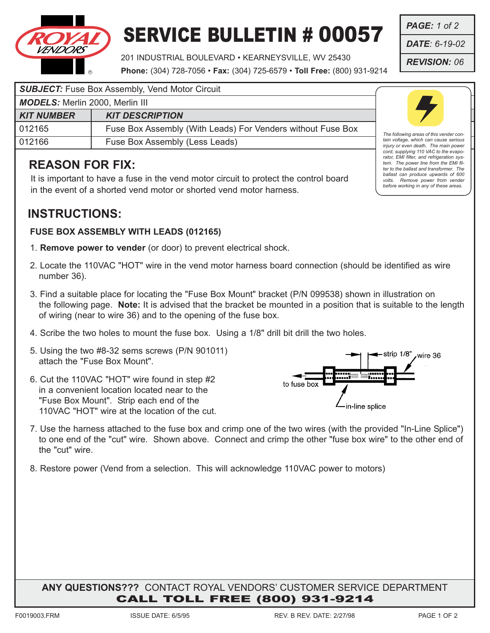

# SERVICE BULLETIN # 00057

201 INDUSTRIAL BOULEVARD • KEARNEYSVILLE, WV 25430 **Phone:** (304) 728-7056 • **Fax:** (304) 725-6579 • **Toll Free:** (800) 931-9214

#### **SUBJECT:** Fuse Box Assembly, Vend Motor Circuit

| <b>MUDELS.</b> MEHILL ZUUU, MEHILLIII |                                                             |
|---------------------------------------|-------------------------------------------------------------|
| <b>KIT NUMBER</b>                     | <b>KIT DESCRIPTION</b>                                      |
| 012165                                | Fuse Box Assembly (With Leads) For Venders without Fuse Box |
| 012166                                | Fuse Box Assembly (Less Leads)                              |

## **REASON FOR FIX:**

*MODELS:* Merlin 2000, Merlin III

It is important to have a fuse in the vend motor circuit to protect the control board in the event of a shorted vend motor or shorted vend motor harness.

## **INSTRUCTIONS:**

#### **FUSE BOX ASSEMBLY WITH LEADS (012165)**

- 1. **Remove power to vender** (or door) to prevent electrical shock.
- 2. Locate the 110VAC "HOT" wire in the vend motor harness board connection (should be identified as wire number 36).
- 3. Find a suitable place for locating the "Fuse Box Mount" bracket (P/N 099538) shown in illustration on the following page. **Note:** It is advised that the bracket be mounted in a position that is suitable to the length of wiring (near to wire 36) and to the opening of the fuse box.
- 4. Scribe the two holes to mount the fuse box. Using a 1/8" drill bit drill the two holes.
- 5. Using the two #8-32 sems screws (P/N 901011) attach the "Fuse Box Mount".
- 6. Cut the 110VAC "HOT" wire found in step #2 in a convenient location located near to the "Fuse Box Mount". Strip each end of the 110VAC "HOT" wire at the location of the cut.



- 7. Use the harness attached to the fuse box and crimp one of the two wires (with the provided "In-Line Splice") to one end of the "cut" wire. Shown above. Connect and crimp the other "fuse box wire" to the other end of the "cut" wire.
- 8. Restore power (Vend from a selection. This will acknowledge 110VAC power to motors)

### **ANY QUESTIONS???** CONTACT ROYAL VENDORS' CUSTOMER SERVICE DEPARTMENT CALL TOLL FREE (800) 931-9214



*The following areas of this vender contain voltage, which can cause serious injury or even death. The main power cord, supplying 110 VAC to the evaporator, EMI filter, and refrigeration system. The power line from the EMI filter to the ballast and transformer. The ballast can produce upwards of 600 volts. Remove power from vender before working in any of these areas.*

*PAGE: 1 of 2*

*DATE: 6-19-02*

*REVISION: 06*